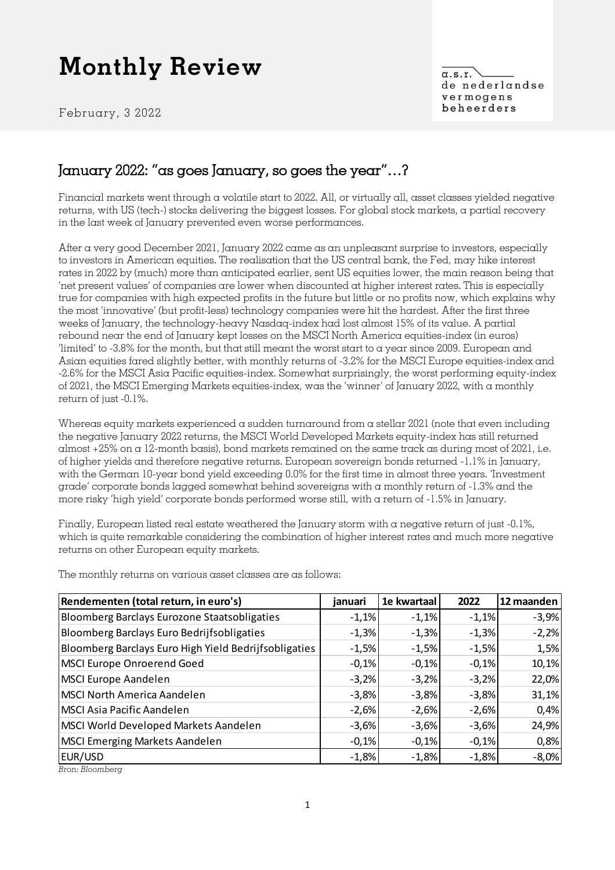February, 3 2022

 $\alpha$ .s.r. de nederlandse vermogens beheerders

### January 2022: "as goes January, so goes the year"…?

Financial markets went through a volatile start to 2022. All, or virtually all, asset classes yielded negative returns, with US (tech-) stocks delivering the biggest losses. For global stock markets, a partial recovery in the last week of January prevented even worse performances.

After a very good December 2021, January 2022 came as an unpleasant surprise to investors, especially to investors in American equities. The realisation that the US central bank, the Fed, may hike interest rates in 2022 by (much) more than anticipated earlier, sent US equities lower, the main reason being that 'net present values' of companies are lower when discounted at higher interest rates. This is especially true for companies with high expected profits in the future but little or no profits now, which explains why the most 'innovative' (but profit-less) technology companies were hit the hardest. After the first three weeks of January, the technology-heavy Nasdaq-index had lost almost 15% of its value. A partial rebound near the end of January kept losses on the MSCI North America equities-index (in euros) 'limited' to -3.8% for the month, but that still meant the worst start to a year since 2009. European and Asian equities fared slightly better, with monthly returns of -3.2% for the MSCI Europe equities-index and -2.6% for the MSCI Asia Pacific equities-index. Somewhat surprisingly, the worst performing equity-index of 2021, the MSCI Emerging Markets equities-index, was the 'winner' of January 2022, with a monthly return of just -0.1%.

Whereas equity markets experienced a sudden turnaround from a stellar 2021 (note that even including the negative January 2022 returns, the MSCI World Developed Markets equity-index has still returned almost  $+25\%$  on a 12-month basis), bond markets remained on the same track as during most of 2021, i.e. of higher yields and therefore negative returns. European sovereign bonds returned -1.1% in January, with the German 10-year bond yield exceeding 0.0% for the first time in almost three years. 'Investment grade' corporate bonds lagged somewhat behind sovereigns with a monthly return of -1.3% and the more risky 'high yield' corporate bonds performed worse still, with a return of -1.5% in January.

Finally, European listed real estate weathered the January storm with a negative return of just -0.1%, which is quite remarkable considering the combination of higher interest rates and much more negative returns on other European equity markets.

| Rendementen (total return, in euro's)                 | januari | 1e kwartaal | 2022    | 12 maanden |
|-------------------------------------------------------|---------|-------------|---------|------------|
| Bloomberg Barclays Eurozone Staatsobligaties          | $-1,1%$ | $-1,1%$     | $-1,1%$ | $-3,9%$    |
| Bloomberg Barclays Euro Bedrijfsobligaties            | $-1,3%$ | $-1,3%$     | $-1,3%$ | $-2,2%$    |
| Bloomberg Barclays Euro High Yield Bedrijfsobligaties | $-1,5%$ | $-1,5%$     | $-1,5%$ | 1,5%       |
| MSCI Europe Onroerend Goed                            | $-0,1%$ | $-0,1%$     | $-0,1%$ | 10,1%      |
| MSCI Europe Aandelen                                  | $-3,2%$ | $-3,2%$     | $-3,2%$ | 22,0%      |
| MSCI North America Aandelen                           | $-3,8%$ | $-3,8%$     | $-3,8%$ | 31,1%      |
| MSCI Asia Pacific Aandelen                            | $-2,6%$ | $-2,6%$     | $-2,6%$ | 0,4%       |
| MSCI World Developed Markets Aandelen                 | $-3,6%$ | $-3,6%$     | $-3,6%$ | 24,9%      |
| MSCI Emerging Markets Aandelen                        | $-0,1%$ | $-0,1%$     | $-0,1%$ | 0,8%       |
| EUR/USD                                               | $-1,8%$ | $-1,8%$     | $-1,8%$ | $-8,0%$    |
| ות ת                                                  |         |             |         |            |

The monthly returns on various asset classes are as follows:

*Bron: Bloomberg*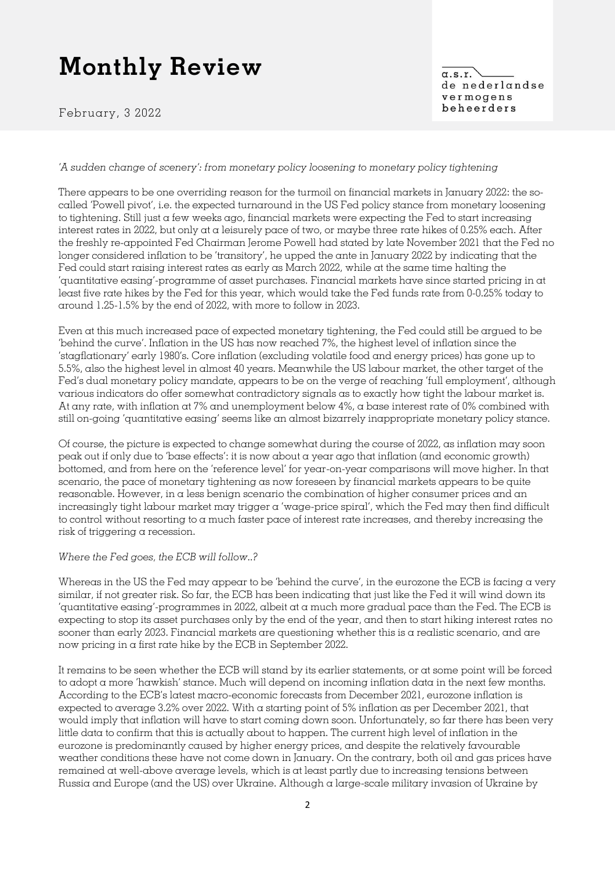February, 3 2022

 $\alpha$ .s.r. de nederlandse vermogens beheerders

#### *'A sudden change of scenery': from monetary policy loosening to monetary policy tightening*

There appears to be one overriding reason for the turmoil on financial markets in January 2022: the socalled 'Powell pivot', i.e. the expected turnaround in the US Fed policy stance from monetary loosening to tightening. Still just a few weeks ago, financial markets were expecting the Fed to start increasing interest rates in 2022, but only at a leisurely pace of two, or maybe three rate hikes of 0.25% each. After the freshly re-appointed Fed Chairman Jerome Powell had stated by late November 2021 that the Fed no longer considered inflation to be 'transitory', he upped the ante in January 2022 by indicating that the Fed could start raising interest rates as early as March 2022, while at the same time halting the 'quantitative easing'-programme of asset purchases. Financial markets have since started pricing in at least five rate hikes by the Fed for this year, which would take the Fed funds rate from 0-0.25% today to around 1.25-1.5% by the end of 2022, with more to follow in 2023.

Even at this much increased pace of expected monetary tightening, the Fed could still be argued to be 'behind the curve'. Inflation in the US has now reached 7%, the highest level of inflation since the 'stagflationary' early 1980's. Core inflation (excluding volatile food and energy prices) has gone up to 5.5%, also the highest level in almost 40 years. Meanwhile the US labour market, the other target of the Fed's dual monetary policy mandate, appears to be on the verge of reaching 'full employment', although various indicators do offer somewhat contradictory signals as to exactly how tight the labour market is. At any rate, with inflation at 7% and unemployment below 4%, a base interest rate of 0% combined with still on-going 'quantitative easing' seems like an almost bizarrely inappropriate monetary policy stance.

Of course, the picture is expected to change somewhat during the course of 2022, as inflation may soon peak out if only due to 'base effects': it is now about a year ago that inflation (and economic growth) bottomed, and from here on the 'reference level' for year-on-year comparisons will move higher. In that scenario, the pace of monetary tightening as now foreseen by financial markets appears to be quite reasonable. However, in a less benign scenario the combination of higher consumer prices and an increasingly tight labour market may trigger a 'wage-price spiral', which the Fed may then find difficult to control without resorting to a much faster pace of interest rate increases, and thereby increasing the risk of triggering a recession.

#### *Where the Fed goes, the ECB will follow..?*

Whereas in the US the Fed may appear to be 'behind the curve', in the eurozone the ECB is facing a very similar, if not greater risk. So far, the ECB has been indicating that just like the Fed it will wind down its 'quantitative easing'-programmes in 2022, albeit at a much more gradual pace than the Fed. The ECB is expecting to stop its asset purchases only by the end of the year, and then to start hiking interest rates no sooner than early 2023. Financial markets are questioning whether this is a realistic scenario, and are now pricing in a first rate hike by the ECB in September 2022.

It remains to be seen whether the ECB will stand by its earlier statements, or at some point will be forced to adopt a more 'hawkish' stance. Much will depend on incoming inflation data in the next few months. According to the ECB's latest macro-economic forecasts from December 2021, eurozone inflation is expected to average 3.2% over 2022. With a starting point of 5% inflation as per December 2021, that would imply that inflation will have to start coming down soon. Unfortunately, so far there has been very little data to confirm that this is actually about to happen. The current high level of inflation in the eurozone is predominantly caused by higher energy prices, and despite the relatively favourable weather conditions these have not come down in January. On the contrary, both oil and gas prices have remained at well-above average levels, which is at least partly due to increasing tensions between Russia and Europe (and the US) over Ukraine. Although a large-scale military invasion of Ukraine by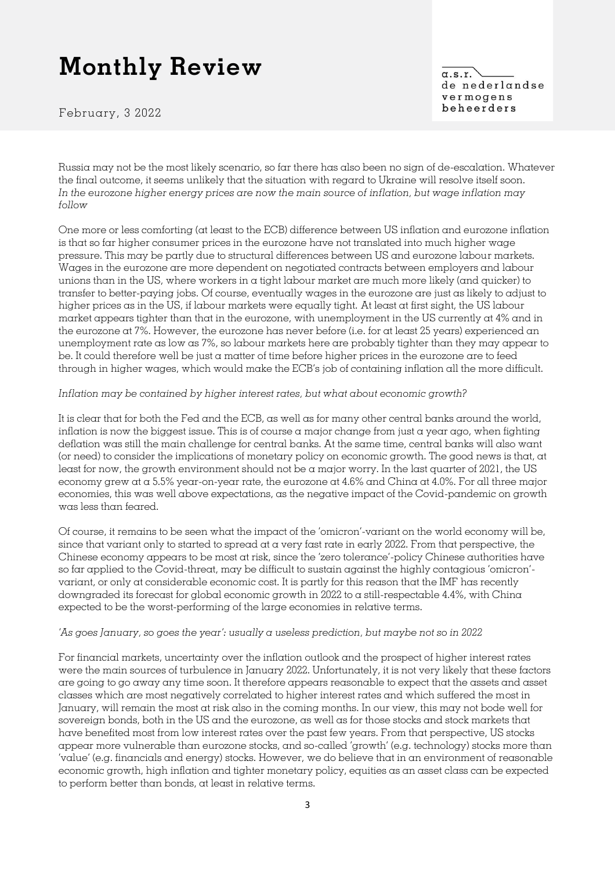February, 3 2022

 $\alpha$ .s.r. de nederlandse vermogens beheerders

Russia may not be the most likely scenario, so far there has also been no sign of de-escalation. Whatever the final outcome, it seems unlikely that the situation with regard to Ukraine will resolve itself soon. *In the eurozone higher energy prices are now the main source of inflation, but wage inflation may follow*

One more or less comforting (at least to the ECB) difference between US inflation and eurozone inflation is that so far higher consumer prices in the eurozone have not translated into much higher wage pressure. This may be partly due to structural differences between US and eurozone labour markets. Wages in the eurozone are more dependent on negotiated contracts between employers and labour unions than in the US, where workers in a tight labour market are much more likely (and quicker) to transfer to better-paying jobs. Of course, eventually wages in the eurozone are just as likely to adjust to higher prices as in the US, if labour markets were equally tight. At least at first sight, the US labour market appears tighter than that in the eurozone, with unemployment in the US currently at 4% and in the eurozone at 7%. However, the eurozone has never before (i.e. for at least 25 years) experienced an unemployment rate as low as 7%, so labour markets here are probably tighter than they may appear to be. It could therefore well be just a matter of time before higher prices in the eurozone are to feed through in higher wages, which would make the ECB's job of containing inflation all the more difficult.

#### *Inflation may be contained by higher interest rates, but what about economic growth?*

It is clear that for both the Fed and the ECB, as well as for many other central banks around the world, inflation is now the biggest issue. This is of course  $\alpha$  major change from just  $\alpha$  year ago, when fighting deflation was still the main challenge for central banks. At the same time, central banks will also want (or need) to consider the implications of monetary policy on economic growth. The good news is that, at least for now, the growth environment should not be a major worry. In the last quarter of 2021, the US economy grew at a 5.5% year-on-year rate, the eurozone at 4.6% and China at 4.0%. For all three major economies, this was well above expectations, as the negative impact of the Covid-pandemic on growth was less than feared.

Of course, it remains to be seen what the impact of the 'omicron'-variant on the world economy will be, since that variant only to started to spread at a very fast rate in early 2022. From that perspective, the Chinese economy appears to be most at risk, since the 'zero tolerance'-policy Chinese authorities have so far applied to the Covid-threat, may be difficult to sustain against the highly contagious 'omicron' variant, or only at considerable economic cost. It is partly for this reason that the IMF has recently downgraded its forecast for global economic growth in 2022 to  $\alpha$  still-respectable 4.4%, with China expected to be the worst-performing of the large economies in relative terms.

#### *'As goes January, so goes the year': usually a useless prediction, but maybe not so in 2022*

For financial markets, uncertainty over the inflation outlook and the prospect of higher interest rates were the main sources of turbulence in January 2022. Unfortunately, it is not very likely that these factors are going to go away any time soon. It therefore appears reasonable to expect that the assets and asset classes which are most negatively correlated to higher interest rates and which suffered the most in January, will remain the most at risk also in the coming months. In our view, this may not bode well for sovereign bonds, both in the US and the eurozone, as well as for those stocks and stock markets that have benefited most from low interest rates over the past few years. From that perspective, US stocks appear more vulnerable than eurozone stocks, and so-called 'growth' (e.g. technology) stocks more than 'value' (e.g. financials and energy) stocks. However, we do believe that in an environment of reasonable economic growth, high inflation and tighter monetary policy, equities as an asset class can be expected to perform better than bonds, at least in relative terms.